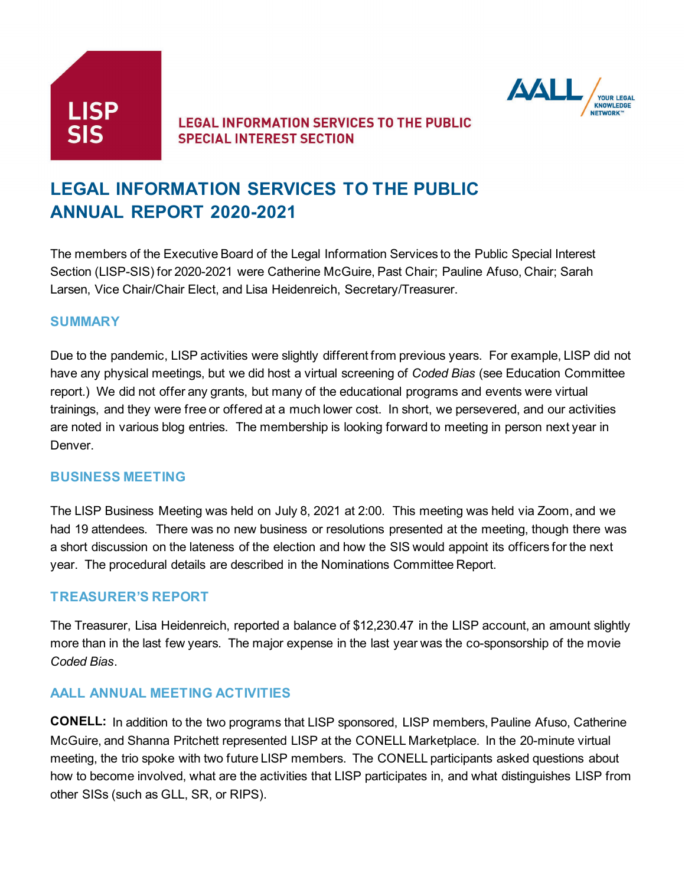



# **LEGAL INFORMATION SERVICES TO THE PUBLIC ANNUAL REPORT 2020-2021**

The members of the Executive Board of the Legal Information Services to the Public Special Interest Section (LISP-SIS) for 2020-2021 were Catherine McGuire, Past Chair; Pauline Afuso, Chair; Sarah Larsen, Vice Chair/Chair Elect, and Lisa Heidenreich, Secretary/Treasurer.

#### **SUMMARY**

Due to the pandemic, LISP activities were slightly different from previous years. For example, LISP did not have any physical meetings, but we did host a virtual screening of *Coded Bias* (see Education Committee report.) We did not offer any grants, but many of the educational programs and events were virtual trainings, and they were free or offered at a much lower cost. In short, we persevered, and our activities are noted in various blog entries. The membership is looking forward to meeting in person next year in Denver.

#### **BUSINESS MEETING**

The LISP Business Meeting was held on July 8, 2021 at 2:00. This meeting was held via Zoom, and we had 19 attendees. There was no new business or resolutions presented at the meeting, though there was a short discussion on the lateness of the election and how the SIS would appoint its officers for the next year. The procedural details are described in the Nominations Committee Report.

#### **TREASURER'S REPORT**

The Treasurer, Lisa Heidenreich, reported a balance of \$12,230.47 in the LISP account, an amount slightly more than in the last few years. The major expense in the last year was the co-sponsorship of the movie *Coded Bias*.

#### **AALL ANNUAL MEETING ACTIVITIES**

**CONELL:** In addition to the two programs that LISP sponsored, LISP members, Pauline Afuso, Catherine McGuire, and Shanna Pritchett represented LISP at the CONELL Marketplace. In the 20-minute virtual meeting, the trio spoke with two future LISP members. The CONELL participants asked questions about how to become involved, what are the activities that LISP participates in, and what distinguishes LISP from other SISs (such as GLL, SR, or RIPS).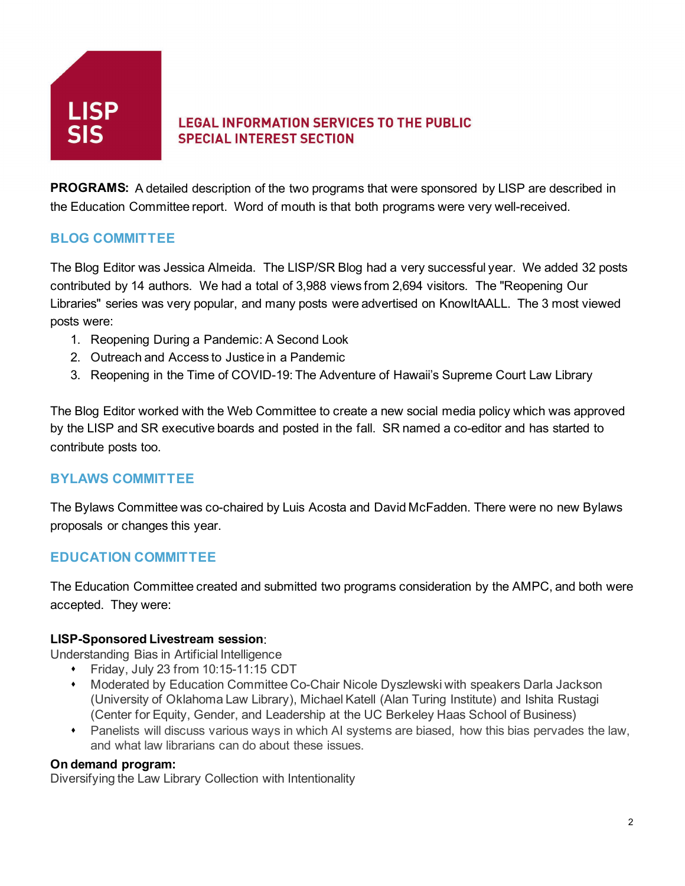

**PROGRAMS:** A detailed description of the two programs that were sponsored by LISP are described in the Education Committee report. Word of mouth is that both programs were very well-received.

## **BLOG COMMITTEE**

The Blog Editor was Jessica Almeida. The LISP/SR Blog had a very successful year. We added 32 posts contributed by 14 authors. We had a total of 3,988 views from 2,694 visitors. The "Reopening Our Libraries" series was very popular, and many posts were advertised on KnowItAALL. The 3 most viewed posts were:

- 1. Reopening During a Pandemic: A Second Look
- 2. Outreach and Access to Justice in a Pandemic
- 3. Reopening in the Time of COVID-19: The Adventure of Hawaii's Supreme Court Law Library

The Blog Editor worked with the Web Committee to create a new social media policy which was approved by the LISP and SR executive boards and posted in the fall. SR named a co-editor and has started to contribute posts too.

## **BYLAWS COMMITTEE**

The Bylaws Committee was co-chaired by Luis Acosta and David McFadden. There were no new Bylaws proposals or changes this year.

#### **EDUCATION COMMITTEE**

The Education Committee created and submitted two programs consideration by the AMPC, and both were accepted. They were:

#### **LISP-Sponsored Livestream session**:

Understanding Bias in Artificial Intelligence

- Friday, July 23 from 10:15-11:15 CDT
- Moderated by Education Committee Co-Chair Nicole Dyszlewski with speakers Darla Jackson (University of Oklahoma Law Library), Michael Katell (Alan Turing Institute) and Ishita Rustagi (Center for Equity, Gender, and Leadership at the UC Berkeley Haas School of Business)
- Panelists will discuss various ways in which AI systems are biased, how this bias pervades the law, and what law librarians can do about these issues.

#### **On demand program:**

Diversifying the Law Library Collection with Intentionality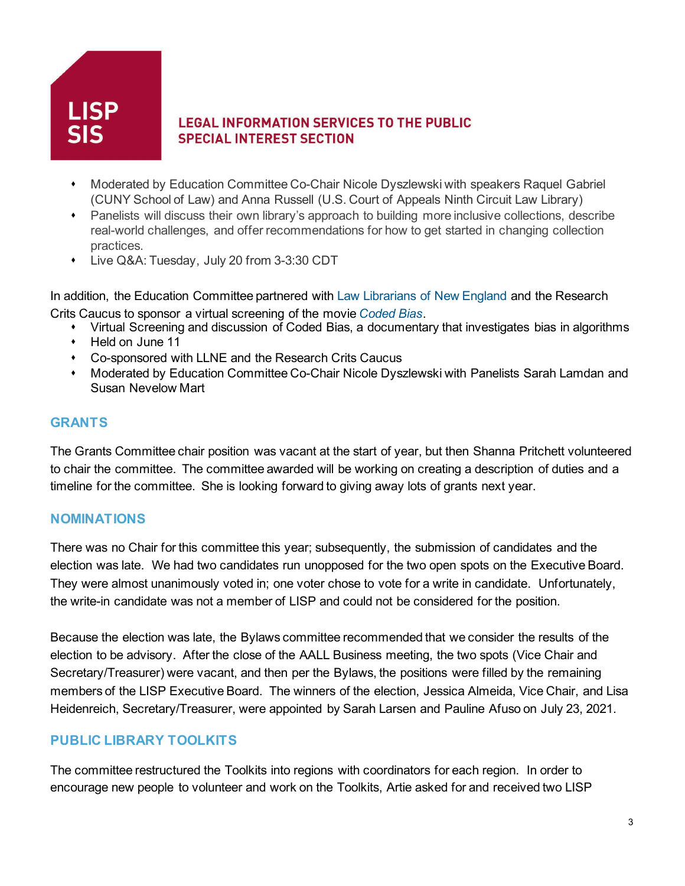

- Moderated by Education Committee Co-Chair Nicole Dyszlewski with speakers Raquel Gabriel (CUNY School of Law) and Anna Russell (U.S. Court of Appeals Ninth Circuit Law Library)
- Panelists will discuss their own library's approach to building more inclusive collections, describe real-world challenges, and offer recommendations for how to get started in changing collection practices.
- Live Q&A: Tuesday, July 20 from 3-3:30 CDT

In addition, the Education Committee partnered with [Law Librarians of New England](https://llne.org/) and the Research Crits Caucus to sponsor a virtual screening of the movie *[Coded Bias](https://www.codedbias.com/)*.

- Virtual Screening and discussion of Coded Bias, a documentary that investigates bias in algorithms
- Held on June 11
- Co-sponsored with LLNE and the Research Crits Caucus
- Moderated by Education Committee Co-Chair Nicole Dyszlewski with Panelists Sarah Lamdan and Susan Nevelow Mart

#### **GRANTS**

The Grants Committee chair position was vacant at the start of year, but then Shanna Pritchett volunteered to chair the committee. The committee awarded will be working on creating a description of duties and a timeline for the committee. She is looking forward to giving away lots of grants next year.

#### **NOMINATIONS**

There was no Chair for this committee this year; subsequently, the submission of candidates and the election was late. We had two candidates run unopposed for the two open spots on the Executive Board. They were almost unanimously voted in; one voter chose to vote for a write in candidate. Unfortunately, the write-in candidate was not a member of LISP and could not be considered for the position.

Because the election was late, the Bylaws committee recommended that we consider the results of the election to be advisory. After the close of the AALL Business meeting, the two spots (Vice Chair and Secretary/Treasurer) were vacant, and then per the Bylaws, the positions were filled by the remaining members of the LISP Executive Board. The winners of the election, Jessica Almeida, Vice Chair, and Lisa Heidenreich, Secretary/Treasurer, were appointed by Sarah Larsen and Pauline Afuso on July 23, 2021.

## **PUBLIC LIBRARY TOOLKITS**

The committee restructured the Toolkits into regions with coordinators for each region. In order to encourage new people to volunteer and work on the Toolkits, Artie asked for and received two LISP